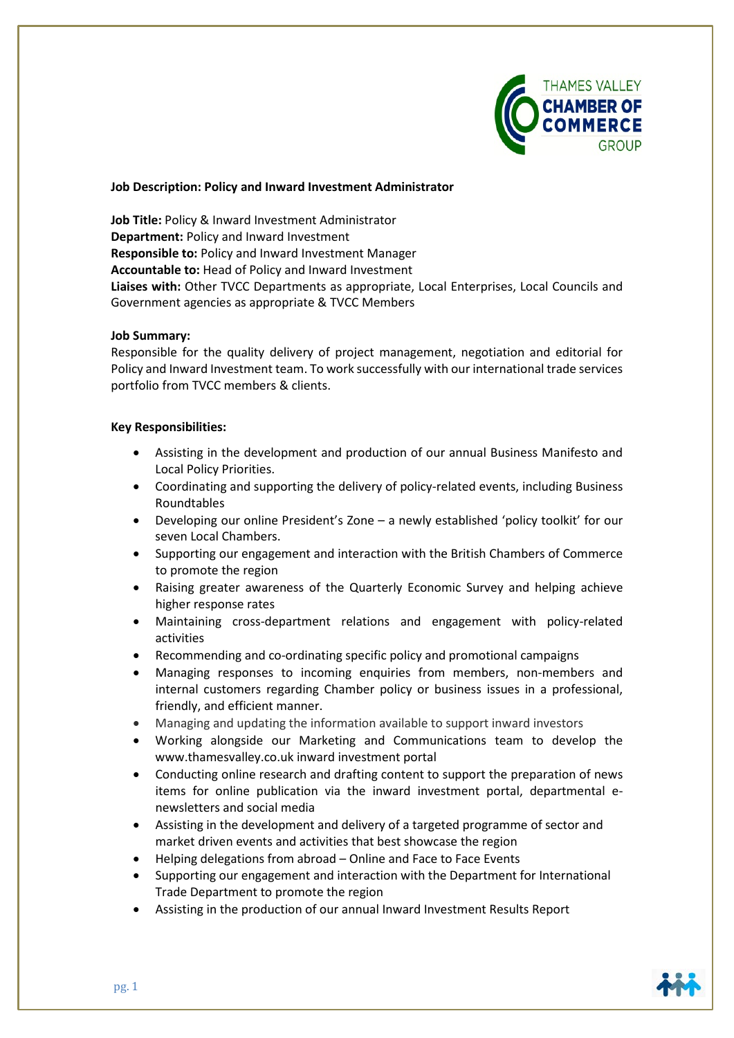

### **Job Description: Policy and Inward Investment Administrator**

**Job Title:** Policy & Inward Investment Administrator **Department:** Policy and Inward Investment **Responsible to:** Policy and Inward Investment Manager **Accountable to:** Head of Policy and Inward Investment **Liaises with:** Other TVCC Departments as appropriate, Local Enterprises, Local Councils and Government agencies as appropriate & TVCC Members

#### **Job Summary:**

Responsible for the quality delivery of project management, negotiation and editorial for Policy and Inward Investment team. To work successfully with our international trade services portfolio from TVCC members & clients.

### **Key Responsibilities:**

- Assisting in the development and production of our annual Business Manifesto and Local Policy Priorities.
- Coordinating and supporting the delivery of policy-related events, including Business Roundtables
- Developing our online President's Zone a newly established 'policy toolkit' for our seven Local Chambers.
- Supporting our engagement and interaction with the British Chambers of Commerce to promote the region
- Raising greater awareness of the Quarterly Economic Survey and helping achieve higher response rates
- Maintaining cross-department relations and engagement with policy-related activities
- Recommending and co-ordinating specific policy and promotional campaigns
- Managing responses to incoming enquiries from members, non-members and internal customers regarding Chamber policy or business issues in a professional, friendly, and efficient manner.
- Managing and updating the information available to support inward investors
- Working alongside our Marketing and Communications team to develop the [www.thamesvalley.co.uk](http://www.thamesvalley.co.uk/) inward investment portal
- Conducting online research and drafting content to support the preparation of news items for online publication via the inward investment portal, departmental enewsletters and social media
- Assisting in the development and delivery of a targeted programme of sector and market driven events and activities that best showcase the region
- Helping delegations from abroad Online and Face to Face Events
- Supporting our engagement and interaction with the Department for International Trade Department to promote the region
- Assisting in the production of our annual Inward Investment Results Report